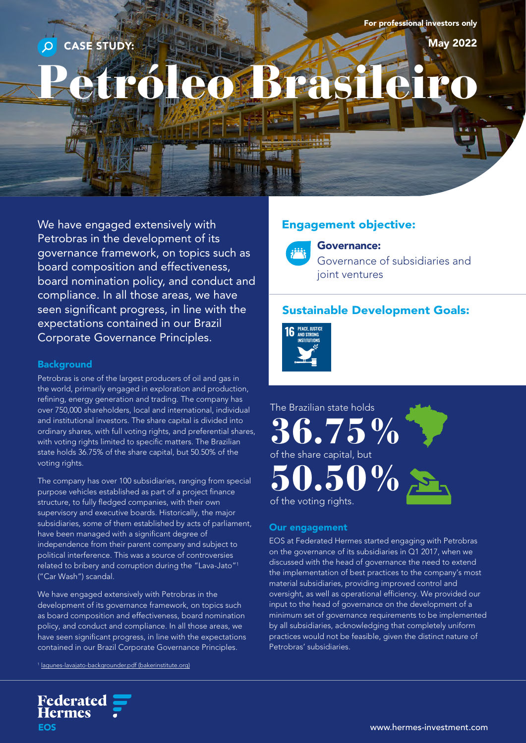For professional investors only

May 2022

# Petróleo Brasileiro.

We have engaged extensively with Petrobras in the development of its governance framework, on topics such as board composition and effectiveness, board nomination policy, and conduct and compliance. In all those areas, we have seen significant progress, in line with the expectations contained in our Brazil Corporate Governance Principles.

CASE STUDY:

#### **Background**

Petrobras is one of the largest producers of oil and gas in the world, primarily engaged in exploration and production, refining, energy generation and trading. The company has over 750,000 shareholders, local and international, individual and institutional investors. The share capital is divided into ordinary shares, with full voting rights, and preferential shares, with voting rights limited to specific matters. The Brazilian state holds 36.75% of the share capital, but 50.50% of the voting rights.

The company has over 100 subsidiaries, ranging from special purpose vehicles established as part of a project finance structure, to fully fledged companies, with their own supervisory and executive boards. Historically, the major subsidiaries, some of them established by acts of parliament, have been managed with a significant degree of independence from their parent company and subject to political interference. This was a source of controversies related to bribery and corruption during the "Lava-Jato"1 ("Car Wash") scandal.

We have engaged extensively with Petrobras in the development of its governance framework, on topics such as board composition and effectiveness, board nomination policy, and conduct and compliance. In all those areas, we have seen significant progress, in line with the expectations contained in our Brazil Corporate Governance Principles.

<sup>1</sup> [lagunes-lavajato-backgrounder.pdf \(bakerinstitute.org\)](https://www.bakerinstitute.org/media/files/files/b49a8c69/lagunes-lavajato-backgrounder.pdf)

**Federated<br>Hermes** 

**EOS** 

## Engagement objective:



Governance:

Governance of subsidiaries and joint ventures

### Sustainable Development Goals:





#### Our engagement

EOS at Federated Hermes started engaging with Petrobras on the governance of its subsidiaries in Q1 2017, when we discussed with the head of governance the need to extend the implementation of best practices to the company's most material subsidiaries, providing improved control and oversight, as well as operational efficiency. We provided our input to the head of governance on the development of a minimum set of governance requirements to be implemented by all subsidiaries, acknowledging that completely uniform practices would not be feasible, given the distinct nature of Petrobras' subsidiaries.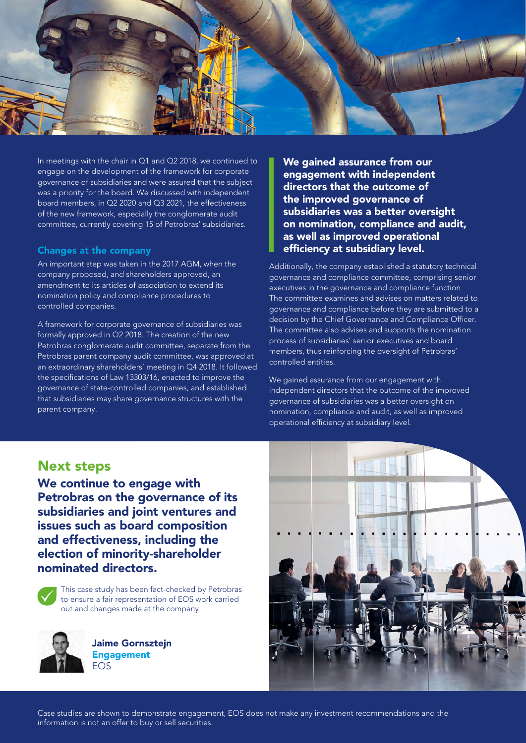

In meetings with the chair in Q1 and Q2 2018, we continued to engage on the development of the framework for corporate governance of subsidiaries and were assured that the subject was a priority for the board. We discussed with independent board members, in Q2 2020 and Q3 2021, the effectiveness of the new framework, especially the conglomerate audit committee, currently covering 15 of Petrobras' subsidiaries.

#### Changes at the company

An important step was taken in the 2017 AGM, when the company proposed, and shareholders approved, an amendment to its articles of association to extend its nomination policy and compliance procedures to controlled companies.

A framework for corporate governance of subsidiaries was formally approved in Q2 2018. The creation of the new Petrobras conglomerate audit committee, separate from the Petrobras parent company audit committee, was approved at an extraordinary shareholders' meeting in Q4 2018. It followed the specifications of Law 13303/16, enacted to improve the governance of state-controlled companies, and established that subsidiaries may share governance structures with the parent company.

We gained assurance from our engagement with independent directors that the outcome of the improved governance of subsidiaries was a better oversight on nomination, compliance and audit, as well as improved operational efficiency at subsidiary level.

Additionally, the company established a statutory technical governance and compliance committee, comprising senior executives in the governance and compliance function. The committee examines and advises on matters related to governance and compliance before they are submitted to a decision by the Chief Governance and Compliance Officer. The committee also advises and supports the nomination process of subsidiaries' senior executives and board members, thus reinforcing the oversight of Petrobras' controlled entities.

We gained assurance from our engagement with independent directors that the outcome of the improved governance of subsidiaries was a better oversight on nomination, compliance and audit, as well as improved operational efficiency at subsidiary level.

## Next steps

We continue to engage with Petrobras on the governance of its subsidiaries and joint ventures and issues such as board composition and effectiveness, including the election of minority-shareholder nominated directors.



 This case study has been fact-checked by Petrobras to ensure a fair representation of EOS work carried out and changes made at the company.



Jaime Gornsztejn Engagement EOS



Case studies are shown to demonstrate engagement, EOS does not make any investment recommendations and the information is not an offer to buy or sell securities.